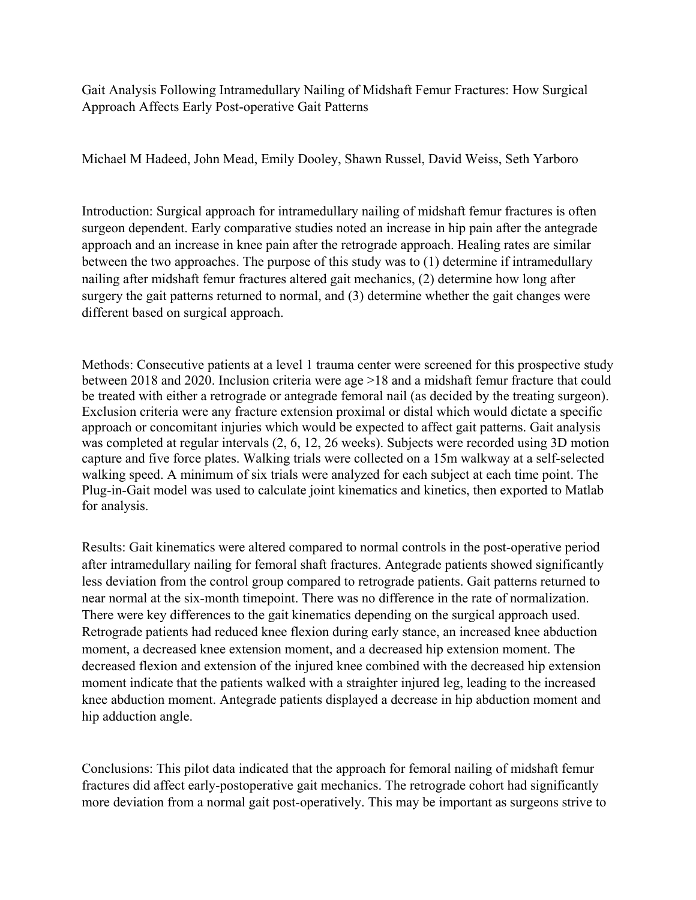Gait Analysis Following Intramedullary Nailing of Midshaft Femur Fractures: How Surgical Approach Affects Early Post-operative Gait Patterns

Michael M Hadeed, John Mead, Emily Dooley, Shawn Russel, David Weiss, Seth Yarboro

Introduction: Surgical approach for intramedullary nailing of midshaft femur fractures is often surgeon dependent. Early comparative studies noted an increase in hip pain after the antegrade approach and an increase in knee pain after the retrograde approach. Healing rates are similar between the two approaches. The purpose of this study was to (1) determine if intramedullary nailing after midshaft femur fractures altered gait mechanics, (2) determine how long after surgery the gait patterns returned to normal, and (3) determine whether the gait changes were different based on surgical approach.

Methods: Consecutive patients at a level 1 trauma center were screened for this prospective study between 2018 and 2020. Inclusion criteria were age >18 and a midshaft femur fracture that could be treated with either a retrograde or antegrade femoral nail (as decided by the treating surgeon). Exclusion criteria were any fracture extension proximal or distal which would dictate a specific approach or concomitant injuries which would be expected to affect gait patterns. Gait analysis was completed at regular intervals (2, 6, 12, 26 weeks). Subjects were recorded using 3D motion capture and five force plates. Walking trials were collected on a 15m walkway at a self-selected walking speed. A minimum of six trials were analyzed for each subject at each time point. The Plug-in-Gait model was used to calculate joint kinematics and kinetics, then exported to Matlab for analysis.

Results: Gait kinematics were altered compared to normal controls in the post-operative period after intramedullary nailing for femoral shaft fractures. Antegrade patients showed significantly less deviation from the control group compared to retrograde patients. Gait patterns returned to near normal at the six-month timepoint. There was no difference in the rate of normalization. There were key differences to the gait kinematics depending on the surgical approach used. Retrograde patients had reduced knee flexion during early stance, an increased knee abduction moment, a decreased knee extension moment, and a decreased hip extension moment. The decreased flexion and extension of the injured knee combined with the decreased hip extension moment indicate that the patients walked with a straighter injured leg, leading to the increased knee abduction moment. Antegrade patients displayed a decrease in hip abduction moment and hip adduction angle.

Conclusions: This pilot data indicated that the approach for femoral nailing of midshaft femur fractures did affect early-postoperative gait mechanics. The retrograde cohort had significantly more deviation from a normal gait post-operatively. This may be important as surgeons strive to